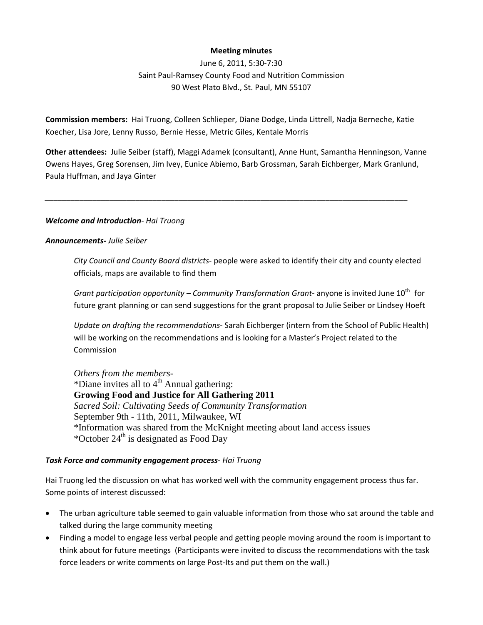## **Meeting minutes**

June 6, 2011, 5:30‐7:30 Saint Paul‐Ramsey County Food and Nutrition Commission 90 West Plato Blvd., St. Paul, MN 55107

**Commission members:** Hai Truong, Colleen Schlieper, Diane Dodge, Linda Littrell, Nadja Berneche, Katie Koecher, Lisa Jore, Lenny Russo, Bernie Hesse, Metric Giles, Kentale Morris

**Other attendees:** Julie Seiber (staff), Maggi Adamek (consultant), Anne Hunt, Samantha Henningson, Vanne Owens Hayes, Greg Sorensen, Jim Ivey, Eunice Abiemo, Barb Grossman, Sarah Eichberger, Mark Granlund, Paula Huffman, and Jaya Ginter

*\_\_\_\_\_\_\_\_\_\_\_\_\_\_\_\_\_\_\_\_\_\_\_\_\_\_\_\_\_\_\_\_\_\_\_\_\_\_\_\_\_\_\_\_\_\_\_\_\_\_\_\_\_\_\_\_\_\_\_\_\_\_\_\_\_\_\_\_\_\_\_\_\_\_\_\_\_\_\_\_\_\_\_\_*

## *Welcome and Introduction‐ Hai Truong*

## *Announcements‐ Julie Seiber*

*City Council and County Board districts*‐ people were asked to identify their city and county elected officials, maps are available to find them

*Grant participation opportunity – Community Transformation Grant*‐ anyone is invited June 10th for future grant planning or can send suggestions for the grant proposal to Julie Seiber or Lindsey Hoeft

*Update on drafting the recommendations‐* Sarah Eichberger (intern from the School of Public Health) will be working on the recommendations and is looking for a Master's Project related to the Commission

*Others from the members*- \*Diane invites all to  $4<sup>th</sup>$  Annual gathering: **Growing Food and Justice for All Gathering 2011** *Sacred Soil: Cultivating Seeds of Community Transformation* September 9th - 11th, 2011, Milwaukee, WI \*Information was shared from the McKnight meeting about land access issues \*October  $24<sup>th</sup>$  is designated as Food Day

## *Task Force and community engagement process*‐ *Hai Truong*

Hai Truong led the discussion on what has worked well with the community engagement process thus far. Some points of interest discussed:

- The urban agriculture table seemed to gain valuable information from those who sat around the table and talked during the large community meeting
- Finding a model to engage less verbal people and getting people moving around the room is important to think about for future meetings (Participants were invited to discuss the recommendations with the task force leaders or write comments on large Post-Its and put them on the wall.)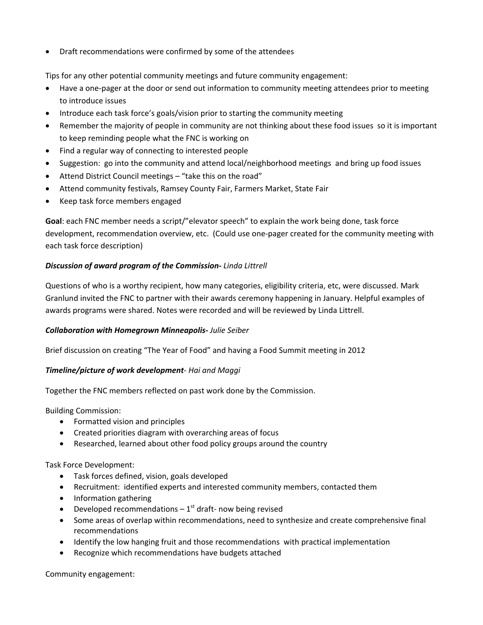Draft recommendations were confirmed by some of the attendees

Tips for any other potential community meetings and future community engagement:

- Have a one-pager at the door or send out information to community meeting attendees prior to meeting to introduce issues
- Introduce each task force's goals/vision prior to starting the community meeting
- Remember the majority of people in community are not thinking about these food issues so it is important to keep reminding people what the FNC is working on
- Find a regular way of connecting to interested people
- Suggestion: go into the community and attend local/neighborhood meetings and bring up food issues
- Attend District Council meetings "take this on the road"
- Attend community festivals, Ramsey County Fair, Farmers Market, State Fair
- Keep task force members engaged

**Goal**: each FNC member needs a script/"elevator speech" to explain the work being done, task force development, recommendation overview, etc. (Could use one‐pager created for the community meeting with each task force description)

## *Discussion of award program of the Commission***‐** *Linda Littrell*

Questions of who is a worthy recipient, how many categories, eligibility criteria, etc, were discussed. Mark Granlund invited the FNC to partner with their awards ceremony happening in January. Helpful examples of awards programs were shared. Notes were recorded and will be reviewed by Linda Littrell.

## *Collaboration with Homegrown Minneapolis***‐** *Julie Seiber*

Brief discussion on creating "The Year of Food" and having a Food Summit meeting in 2012

## *Timeline/picture of work development‐ Hai and Maggi*

Together the FNC members reflected on past work done by the Commission.

Building Commission:

- Formatted vision and principles
- Created priorities diagram with overarching areas of focus
- Researched, learned about other food policy groups around the country

## Task Force Development:

- Task forces defined, vision, goals developed
- Recruitment: identified experts and interested community members, contacted them
- Information gathering
- Developed recommendations  $-1$ <sup>st</sup> draft-now being revised
- Some areas of overlap within recommendations, need to synthesize and create comprehensive final recommendations
- Identify the low hanging fruit and those recommendations with practical implementation
- Recognize which recommendations have budgets attached

Community engagement: